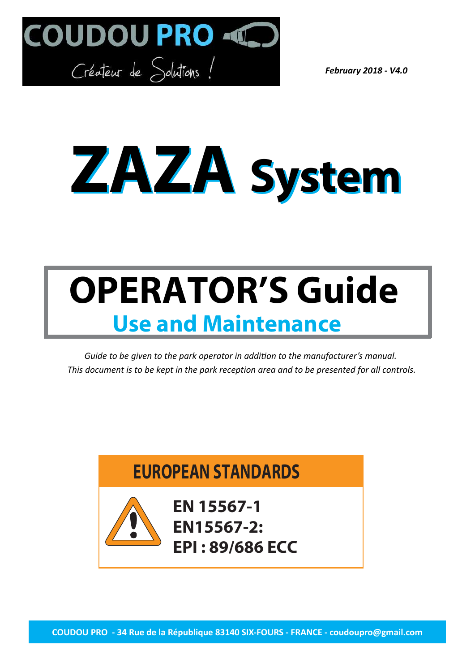

*February 2018 - V4.0*

# **ZAZA System**

## **OPERATOR'S Guide Use and Maintenance**

*Guide to be given to the park operator in addition to the manufacturer's manual. This document is to be kept in the park reception area and to be presented for all controls.*

### **EUROPEAN STANDARDS**



**EN 15567-1 EN15567-2: EPI : 89/686 ECC**

**COUDOU PRO - 34 Rue de la République 83140 SIX-FOURS - FRANCE - coudoupro@gmail.com**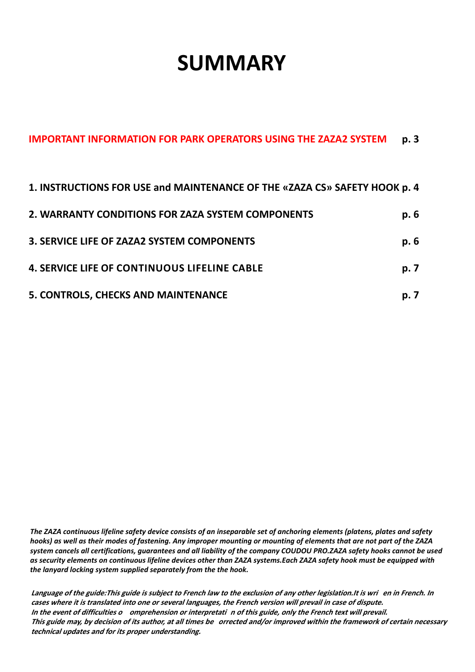## **SUMMARY**

| 1. INSTRUCTIONS FOR USE and MAINTENANCE OF THE «ZAZA CS» SAFETY HOOK p. 4 |      |
|---------------------------------------------------------------------------|------|
| 2. WARRANTY CONDITIONS FOR ZAZA SYSTEM COMPONENTS                         | p. 6 |
| 3. SERVICE LIFE OF ZAZA2 SYSTEM COMPONENTS                                | p. 6 |
| <b>4. SERVICE LIFE OF CONTINUOUS LIFELINE CABLE</b>                       | p. 7 |
| 5. CONTROLS, CHECKS AND MAINTENANCE                                       | p. 7 |

**IMPORTANT INFORMATION FOR PARK OPERATORS USING THE ZAZA2 SYSTEM p. 3**

*The ZAZA continuous lifeline safety device consists of an inseparable set of anchoring elements (platens, plates and safety hooks) as well as their modes of fastening. Any improper mounting or mounting of elements that are not part of the ZAZA system cancels all certifications, guarantees and all liability of the company COUDOU PRO.ZAZA safety hooks cannot be used as security elements on continuous lifeline devices other than ZAZA systems.Each ZAZA safety hook must be equipped with the lanyard locking system supplied separately from the the hook.*

**Language of the guide:This guide is subject to French law to the exclusion of any other legislation.It is wri en in French. In cases where it is translated into one or several languages, the French version will prevail in case of dispute. In the event of difficulties o omprehension or interpretati n of this guide, only the French text will prevail. This guide may, by decision of its author, at all times be orrected and/or improved within the framework of certain necessary technical updates and for its proper understanding.**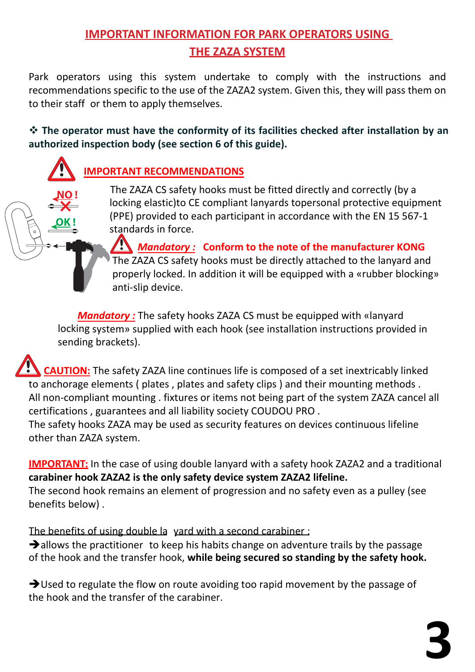#### **IMPORTANT INFORMATION FOR PARK OPERATORS USING THE ZAZA SYSTEM**

Park operators using this system undertake to comply with the instructions and recommendations specific to the use of the ZAZA2 system. Given this, they will pass them on to their staff or them to apply themselves.

 **The operator must have the conformity of its facilities checked after installation by an authorized inspection body (see section 6 of this guide).**

#### **IMPORTANT RECOMMENDATIONS**

**OK !**

The ZAZA CS safety hooks must be fitted directly and correctly (by a locking elastic)to CE compliant lanyards topersonal protective equipment (PPE) provided to each participant in accordance with the EN 15 567-1 standards in force.

 *Mandatory :* **Conform to the note of the manufacturer KONG** The ZAZA CS safety hooks must be directly attached to the lanyard and properly locked. In addition it will be equipped with a «rubber blocking» anti-slip device.

*Mandatory :* The safety hooks ZAZA CS must be equipped with «lanyard locking system» supplied with each hook (see installation instructions provided in sending brackets).

 **CAUTION:** The safety ZAZA line continues life is composed of a set inextricably linked to anchorage elements ( plates , plates and safety clips ) and their mounting methods . All non-compliant mounting . fixtures or items not being part of the system ZAZA cancel all certifications , guarantees and all liability society COUDOU PRO .

The safety hooks ZAZA may be used as security features on devices continuous lifeline other than ZAZA system.

**IMPORTANT:** In the case of using double lanyard with a safety hook ZAZA2 and a traditional **carabiner hook ZAZA2 is the only safety device system ZAZA2 lifeline.**

The second hook remains an element of progression and no safety even as a pulley (see benefits below) .

The benefits of using double la yard with a second carabiner:

 $\rightarrow$  allows the practitioner to keep his habits change on adventure trails by the passage of the hook and the transfer hook, **while being secured so standing by the safety hook.**

 $\rightarrow$  Used to regulate the flow on route avoiding too rapid movement by the passage of the hook and the transfer of the carabiner.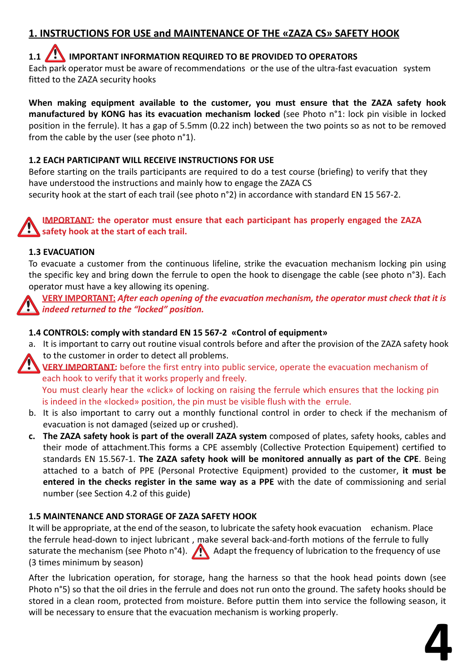#### **1. INSTRUCTIONS FOR USE and MAINTENANCE OF THE «ZAZA CS» SAFETY HOOK**

#### **1.1 / IMPORTANT INFORMATION REQUIRED TO BE PROVIDED TO OPERATORS**

Each park operator must be aware of recommendations or the use of the ultra-fast evacuation system fitted to the ZAZA security hooks

**When making equipment available to the customer, you must ensure that the ZAZA safety hook manufactured by KONG has its evacuation mechanism locked** (see Photo n°1: lock pin visible in locked position in the ferrule). It has a gap of 5.5mm (0.22 inch) between the two points so as not to be removed from the cable by the user (see photo n°1).

#### **1.2 EACH PARTICIPANT WILL RECEIVE INSTRUCTIONS FOR USE**

Before starting on the trails participants are required to do a test course (briefing) to verify that they have understood the instructions and mainly how to engage the ZAZA CS security hook at the start of each trail (see photo n°2) in accordance with standard EN 15 567-2.

#### **IMPORTANT: the operator must ensure that each participant has properly engaged the ZAZA safety hook at the start of each trail.**

#### **1.3 EVACUATION**

To evacuate a customer from the continuous lifeline, strike the evacuation mechanism locking pin using the specific key and bring down the ferrule to open the hook to disengage the cable (see photo n°3). Each operator must have a key allowing its opening.

**VERY IMPORTANT:** *After each opening of the evacuation mechanism, the operator must check that it is indeed returned to the "locked" position.*

#### **1.4 CONTROLS: comply with standard EN 15 567-2 «Control of equipment»**

a. It is important to carry out routine visual controls before and after the provision of the ZAZA safety hook to the customer in order to detect all problems.

**VERY IMPORTANT:** before the first entry into public service, operate the evacuation mechanism of each hook to verify that it works properly and freely.

You must clearly hear the «click» of locking on raising the ferrule which ensures that the locking pin is indeed in the «locked» position, the pin must be visible flush with the errule.

- b. It is also important to carry out a monthly functional control in order to check if the mechanism of evacuation is not damaged (seized up or crushed).
- **c. The ZAZA safety hook is part of the overall ZAZA system** composed of plates, safety hooks, cables and their mode of attachment.This forms a CPE assembly (Collective Protection Equipement) certified to standards EN 15.567-1. **The ZAZA safety hook will be monitored annually as part of the CPE**. Being attached to a batch of PPE (Personal Protective Equipment) provided to the customer, **it must be entered in the checks register in the same way as a PPE** with the date of commissioning and serial number (see Section 4.2 of this guide)

#### **1.5 MAINTENANCE AND STORAGE OF ZAZA SAFETY HOOK**

It will be appropriate, at the end of the season, to lubricate the safety hook evacuation echanism. Place the ferrule head-down to inject lubricant , make several back-and-forth motions of the ferrule to fully saturate the mechanism (see Photo n°4). Adapt the frequency of lubrication to the frequency of use (3 times minimum by season)

After the lubrication operation, for storage, hang the harness so that the hook head points down (see Photo n°5) so that the oil dries in the ferrule and does not run onto the ground. The safety hooks should be stored in a clean room, protected from moisture. Before puttin them into service the following season, it will be necessary to ensure that the evacuation mechanism is working properly.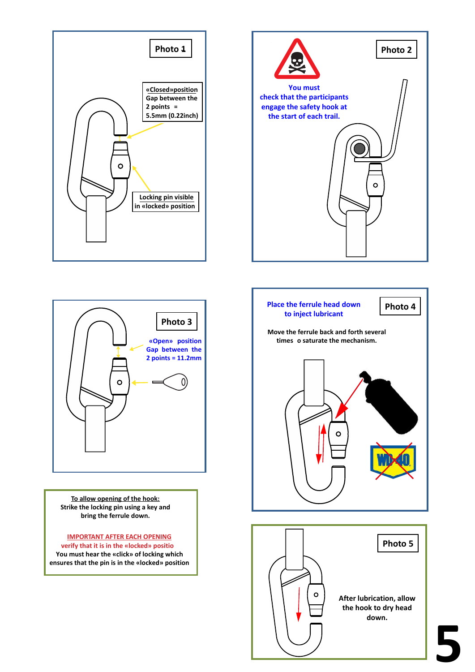





**To allow opening of the hook: Strike the locking pin using a key and bring the ferrule down.**

**IMPORTANT AFTER EACH OPENING verify that it is in the «locked» positio You must hear the «click» of locking which ensures that the pin is in the «locked» position**

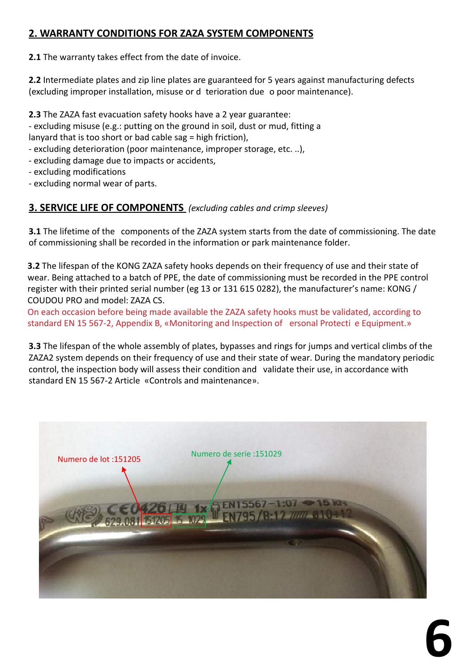#### **2. WARRANTY CONDITIONS FOR ZAZA SYSTEM COMPONENTS**

**2.1** The warranty takes effect from the date of invoice.

**2.2** Intermediate plates and zip line plates are guaranteed for 5 years against manufacturing defects (excluding improper installation, misuse or d terioration due o poor maintenance).

**2.3** The ZAZA fast evacuation safety hooks have a 2 year guarantee:

- excluding misuse (e.g.: putting on the ground in soil, dust or mud, fitting a lanyard that is too short or bad cable sag = high friction),

- excluding deterioration (poor maintenance, improper storage, etc. ..),
- excluding damage due to impacts or accidents,
- excluding modifications
- excluding normal wear of parts.

#### **3. SERVICE LIFE OF COMPONENTS** *(excluding cables and crimp sleeves)*

**3.1** The lifetime of the components of the ZAZA system starts from the date of commissioning. The date of commissioning shall be recorded in the information or park maintenance folder.

**3.2** The lifespan of the KONG ZAZA safety hooks depends on their frequency of use and their state of wear. Being attached to a batch of PPE, the date of commissioning must be recorded in the PPE control register with their printed serial number (eg 13 or 131 615 0282), the manufacturer's name: KONG / COUDOU PRO and model: ZAZA CS.

On each occasion before being made available the ZAZA safety hooks must be validated, according to standard EN 15 567-2, Appendix B, «Monitoring and Inspection of ersonal Protecti e Equipment.»

**3.3** The lifespan of the whole assembly of plates, bypasses and rings for jumps and vertical climbs of the ZAZA2 system depends on their frequency of use and their state of wear. During the mandatory periodic control, the inspection body will assess their condition and validate their use, in accordance with standard EN 15 567-2 Article «Controls and maintenance».